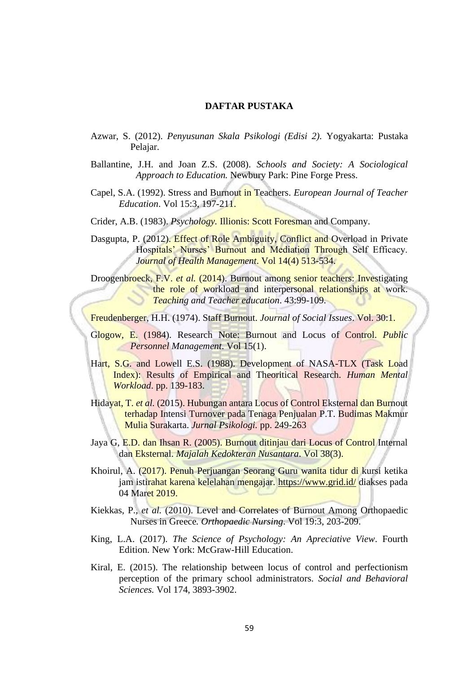## **DAFTAR PUSTAKA**

- Azwar, S. (2012). *Penyusunan Skala Psikologi (Edisi 2).* Yogyakarta: Pustaka Pelajar.
- Ballantine, J.H. and Joan Z.S. (2008). *Schools and Society: A Sociological Approach to Education.* Newbury Park: Pine Forge Press.
- Capel, S.A. (1992). Stress and Burnout in Teachers. *European Journal of Teacher Education*. Vol 15:3, 197-211.
- Crider, A.B. (1983). *Psychology.* Illionis: Scott Foresman and Company.
- Dasgupta, P. (2012). Effect of Role Ambiguity, Conflict and Overload in Private Hospitals' Nurses' Burnout and Mediation Through Self Efficacy. *Journal of Health Management*. Vol 14(4) 513-534.

Droogenbroeck, F.V. *et al.* (2014). Burnout among senior teachers: Investigating the role of workload and interpersonal relationships at work. *Teaching and Teacher education*. 43:99-109.

Freudenberger, H.H. (1974). Staff Burnout. *Journal of Social Issues*. Vol. 30:1.

- Glogow, E. (1984). Research Note: Burnout and Locus of Control. *Public Personnel Management*. Vol 15(1).
- Hart, S.G. and Lowell E.S. (1988). Development of NASA-TLX (Task Load Index): Results of Empirical and Theoritical Research. *Human Mental Workload*. pp. 139-183.
- Hidayat, T. *et al.* (2015). Hubungan antara Locus of Control Eksternal dan Burnout terhadap Intensi Turnover pada Tenaga Penjualan P.T. Budimas Makmur Mulia Surakarta. *Jurnal Psikologi.* pp. 249-263
- Jaya G, E.D. dan Ihsan R. (2005). Burnout ditinjau dari Locus of Control Internal dan Eksternal. *Majalah Kedokteran Nusantara*. Vol 38(3).
- Khoirul, A. (2017). Penuh Perjuangan Seorang Guru wanita tidur di kursi ketika jam istirahat karena kelelahan mengajar.<https://www.grid.id/> diakses pada 04 Maret 2019.
- Kiekkas, P., *et al.* (2010). Level and Correlates of Burnout Among Orthopaedic Nurses in Greece*. Orthopaedic Nursing*. Vol 19:3, 203-209.
- King, L.A. (2017). *The Science of Psychology: An Apreciative View*. Fourth Edition. New York: McGraw-Hill Education.
- Kiral, E. (2015). The relationship between locus of control and perfectionism perception of the primary school administrators. *Social and Behavioral Sciences.* Vol 174, 3893-3902.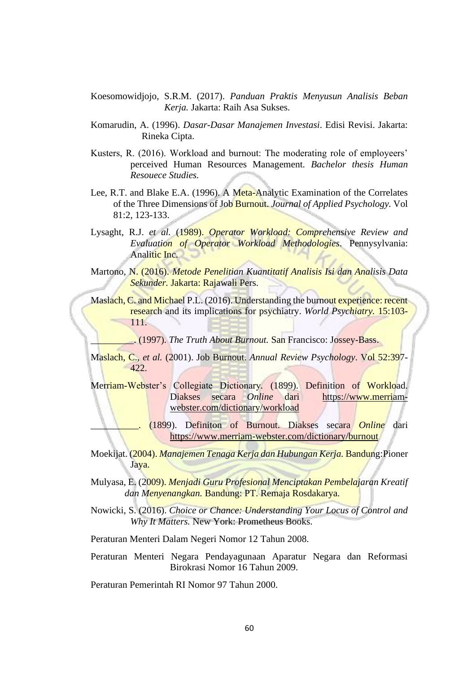- Koesomowidjojo, S.R.M. (2017). *Panduan Praktis Menyusun Analisis Beban Kerja.* Jakarta: Raih Asa Sukses.
- Komarudin, A. (1996). *Dasar-Dasar Manajemen Investasi*. Edisi Revisi. Jakarta: Rineka Cipta.
- Kusters, R. (2016). Workload and burnout: The moderating role of employeers' perceived Human Resources Management. *Bachelor thesis Human Resouece Studies.*
- Lee, R.T. and Blake E.A. (1996). A Meta-Analytic Examination of the Correlates of the Three Dimensions of Job Burnout. *Journal of Applied Psychology.* Vol 81:2, 123-133.
- Lysaght, R.J. *et al.* (1989). *Operator Workload: Comprehensive Review and Evaluation of Operator Workload Methodologies*. Pennysylvania: Analitic Inc.
- Martono, N. (2016). *Metode Penelitian Kuantitatif Analisis Isi dan Analisis Data Sekunder.* Jakarta: Rajawali Pers.
- Maslach, C. and Michael P.L. (2016). Understanding the burnout experience: recent research and its implications for psychiatry. *World Psychiatry.* 15:103- 111.

\_\_\_\_\_\_\_\_\_. (1997). *The Truth About Burnout.* San Francisco: Jossey-Bass.

- Maslach, C., *et al.* (2001). Job Burnout. *Annual Review Psychology*. Vol 52:397- 422.
- Merriam-Webster's Collegiate Dictionary*.* (1899). Definition of Workload. Diakses secara *Online* dari [https://www.merriam](https://www.merriam-webster.com/dictionary/workload)[webster.com/dictionary/workload](https://www.merriam-webster.com/dictionary/workload)
	- \_\_\_\_\_\_\_\_\_\_. (1899). Definiton of Burnout. Diakses secara *Online* dari <https://www.merriam-webster.com/dictionary/burnout>
- Moekijat. (2004). *Manajemen Tenaga Kerja dan Hubungan Kerja.* Bandung:Pioner Jaya.
- Mulyasa, E. (2009). *Menjadi Guru Profesional Menciptakan Pembelajaran Kreatif dan Menyenangkan.* Bandung: PT. Remaja Rosdakarya.
- Nowicki, S. (2016). *Choice or Chance: Understanding Your Locus of Control and Why It Matters.* New York: Prometheus Books.
- Peraturan Menteri Dalam Negeri Nomor 12 Tahun 2008.
- Peraturan Menteri Negara Pendayagunaan Aparatur Negara dan Reformasi Birokrasi Nomor 16 Tahun 2009.

Peraturan Pemerintah RI Nomor 97 Tahun 2000.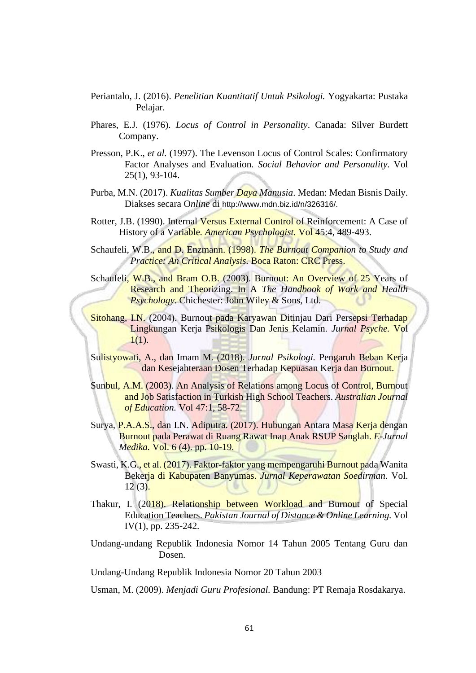- Periantalo, J. (2016). *Penelitian Kuantitatif Untuk Psikologi.* Yogyakarta: Pustaka Pelajar.
- Phares, E.J. (1976). *Locus of Control in Personality*. Canada: Silver Burdett Company.
- Presson, P.K., *et al.* (1997). The Levenson Locus of Control Scales: Confirmatory Factor Analyses and Evaluation. *Social Behavior and Personality*. Vol 25(1), 93-104.
- Purba, M.N. (2017). *Kualitas Sumber Daya Manusia*. Medan: Medan Bisnis Daily. Diakses secara O*nline* di http://www.mdn.biz.id/n/326316/.
- Rotter, J.B. (1990). Internal Versus External Control of Reinforcement: A Case of History of a Variable*. American Psychologist.* Vol 45:4, 489-493.
- Schaufeli, W.B., and D. Enzmann. (1998). *The Burnout Companion to Study and Practice: An Critical Analysis.* Boca Raton: CRC Press.

Schaufeli, W.B., and Bram O.B. (2003). Burnout: An Overview of 25 Years of Research and Theorizing. In A *The Handbook of Work and Health Psychology*. Chichester: John Wiley & Sons, Ltd.

Sitohang, I.N. (2004). Burnout pada Karyawan Ditinjau Dari Persepsi Terhadap Lingkungan Kerja Psikologis Dan Jenis Kelamin. *Jurnal Psyche.* Vol  $1(1)$ .

Sulistyowati, A., dan Imam M. (2018). *Jurnal Psikologi.* Pengaruh Beban Kerja dan Kesejahteraan Dosen Terhadap Kepuasan Kerja dan Burnout.

- Sunbul, A.M. (2003). An Analysis of Relations among Locus of Control, Burnout and Job Satisfaction in Turkish High School Teachers. *Australian Journal of Education.* Vol 47:1, 58-72.
- Surya, P.A.A.S., dan I.N. Adiputra. (2017). Hubungan Antara Masa Kerja dengan Burnout pada Perawat di Ruang Rawat Inap Anak RSUP Sanglah. *E-Jurnal Medika.* Vol. 6 (4). pp. 10-19.
- Swasti, K.G., et al. (2017). Faktor-faktor yang mempengaruhi Burnout pada Wanita Bekerja di Kabupaten Banyumas. *Jurnal Keperawatan Soedirman.* Vol.  $12(3)$ .
- Thakur, I. (2018). Relationship between Workload and Burnout of Special Education Teachers. *Pakistan Journal of Distance & Online Learning.* Vol IV(1), pp. 235-242.
- Undang-undang Republik Indonesia Nomor 14 Tahun 2005 Tentang Guru dan Dosen.

Undang-Undang Republik Indonesia Nomor 20 Tahun 2003

Usman, M. (2009). *Menjadi Guru Profesional.* Bandung: PT Remaja Rosdakarya.